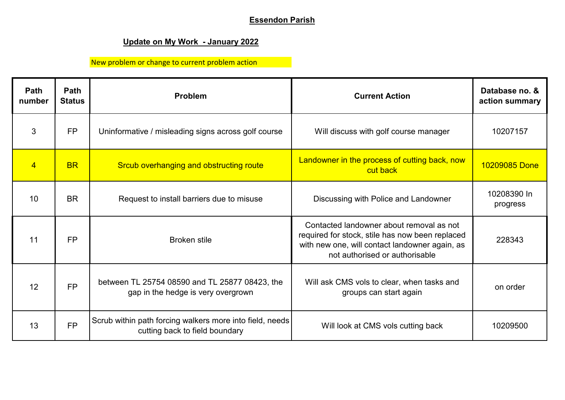## **Essendon Parish**

## **Update on My Work - January 2022**

## New problem or change to current problem action

| Path<br>number  | <b>Path</b><br><b>Status</b> | Problem                                                                                    | <b>Current Action</b>                                                                                                                                                           | Database no. &<br>action summary |
|-----------------|------------------------------|--------------------------------------------------------------------------------------------|---------------------------------------------------------------------------------------------------------------------------------------------------------------------------------|----------------------------------|
| 3               | <b>FP</b>                    | Uninformative / misleading signs across golf course                                        | Will discuss with golf course manager                                                                                                                                           | 10207157                         |
| $\overline{4}$  | <b>BR</b>                    | Srcub overhanging and obstructing route                                                    | Landowner in the process of cutting back, now<br>cut back                                                                                                                       | 10209085 Done                    |
| 10 <sup>°</sup> | <b>BR</b>                    | Request to install barriers due to misuse                                                  | Discussing with Police and Landowner                                                                                                                                            | 10208390 In<br>progress          |
| 11              | <b>FP</b>                    | <b>Broken stile</b>                                                                        | Contacted landowner about removal as not<br>required for stock, stile has now been replaced<br>with new one, will contact landowner again, as<br>not authorised or authorisable | 228343                           |
| 12              | <b>FP</b>                    | between TL 25754 08590 and TL 25877 08423, the<br>gap in the hedge is very overgrown       | Will ask CMS vols to clear, when tasks and<br>groups can start again                                                                                                            | on order                         |
| 13              | <b>FP</b>                    | Scrub within path forcing walkers more into field, needs<br>cutting back to field boundary | Will look at CMS vols cutting back                                                                                                                                              | 10209500                         |